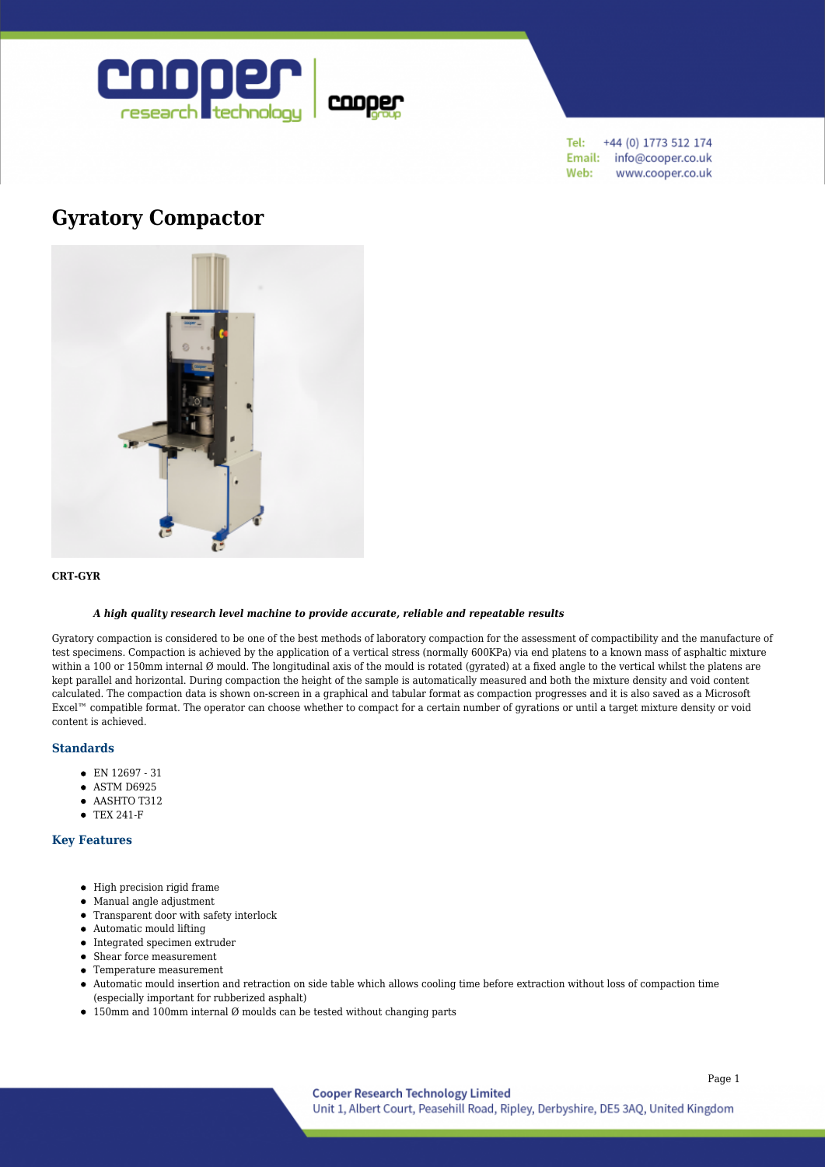

Tel: +44 (0) 1773 512 174 Email: info@cooper.co.uk Web: www.cooper.co.uk

# **[Gyratory Compactor](https://www.cooper.co.uk/shop/asphalt-testing/asphalt-compaction/gyratory-compactor/)**



#### **CRT-GYR**

## *A high quality research level machine to provide accurate, reliable and repeatable results*

Gyratory compaction is considered to be one of the best methods of laboratory compaction for the assessment of compactibility and the manufacture of test specimens. Compaction is achieved by the application of a vertical stress (normally 600KPa) via end platens to a known mass of asphaltic mixture within a 100 or 150mm internal Ø mould. The longitudinal axis of the mould is rotated (gyrated) at a fixed angle to the vertical whilst the platens are kept parallel and horizontal. During compaction the height of the sample is automatically measured and both the mixture density and void content calculated. The compaction data is shown on-screen in a graphical and tabular format as compaction progresses and it is also saved as a Microsoft Excel™ compatible format. The operator can choose whether to compact for a certain number of gyrations or until a target mixture density or void content is achieved.

### **Standards**

- EN 12697 31
- $\bullet$  ASTM D6925
- $\bullet$  AASHTO T312
- TEX 241-F

# **Key Features**

- $\bullet$  High precision rigid frame
- Manual angle adjustment
- Transparent door with safety interlock
- Automatic mould lifting
- $\bullet$  Integrated specimen extruder
- Shear force measurement
- Temperature measurement
- Automatic mould insertion and retraction on side table which allows cooling time before extraction without loss of compaction time (especially important for rubberized asphalt)
- $\bullet$  150mm and 100mm internal Ø moulds can be tested without changing parts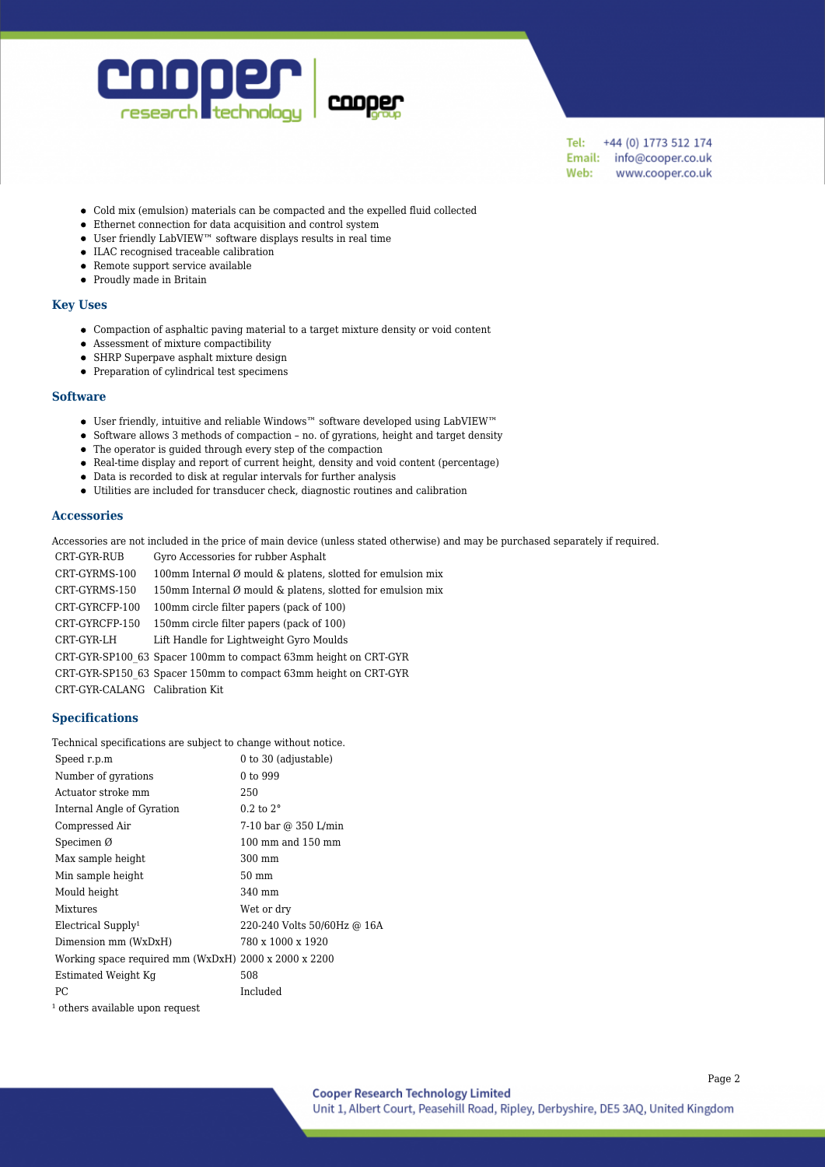

+44 (0) 1773 512 174 Tel: Email: info@cooper.co.uk Web: www.cooper.co.uk

- Cold mix (emulsion) materials can be compacted and the expelled fluid collected
- Ethernet connection for data acquisition and control system
- $\bullet~$  User friendly LabVIEW™ software displays results in real time
- ILAC recognised traceable calibration
- Remote support service available
- Proudly made in Britain

## **Key Uses**

- Compaction of asphaltic paving material to a target mixture density or void content
- Assessment of mixture compactibility
- SHRP Superpave asphalt mixture design
- Preparation of cylindrical test specimens

#### **Software**

- User friendly, intuitive and reliable Windows™ software developed using LabVIEW™
- Software allows 3 methods of compaction no. of gyrations, height and target density
- The operator is guided through every step of the compaction
- Real-time display and report of current height, density and void content (percentage)
- Data is recorded to disk at regular intervals for further analysis
- Utilities are included for transducer check, diagnostic routines and calibration

#### **Accessories**

Accessories are not included in the price of main device (unless stated otherwise) and may be purchased separately if required.

CRT-GYR-RUB Gyro Accessories for rubber Asphalt CRT-GYRMS-100 100mm Internal Ø mould & platens, slotted for emulsion mix CRT-GYRMS-150 150mm Internal Ø mould & platens, slotted for emulsion mix CRT-GYRCFP-100 100mm circle filter papers (pack of 100) CRT-GYRCFP-150 150mm circle filter papers (pack of 100) CRT-GYR-LH Lift Handle for Lightweight Gyro Moulds CRT-GYR-SP100\_63 Spacer 100mm to compact 63mm height on CRT-GYR CRT-GYR-SP150\_63 Spacer 150mm to compact 63mm height on CRT-GYR CRT-GYR-CALANG Calibration Kit

# **Specifications**

Technical specifications are subject to change without notice.

| Speed r.p.m                                          | 0 to 30 (adjustable)                  |
|------------------------------------------------------|---------------------------------------|
| Number of gyrations                                  | 0 to 999                              |
| Actuator stroke mm                                   | 250                                   |
| Internal Angle of Gyration                           | $0.2$ to $2^{\circ}$                  |
| Compressed Air                                       | 7-10 bar @ 350 L/min                  |
| Specimen $\varnothing$                               | $100 \text{ mm}$ and $150 \text{ mm}$ |
| Max sample height                                    | 300 mm                                |
| Min sample height                                    | 50 mm                                 |
| Mould height                                         | 340 mm                                |
| Mixtures                                             | Wet or dry                            |
| Electrical Supply <sup>1</sup>                       | 220-240 Volts 50/60Hz @ 16A           |
| Dimension mm (WxDxH)                                 | 780 x 1000 x 1920                     |
| Working space required mm (WxDxH) 2000 x 2000 x 2200 |                                       |
| Estimated Weight Kg                                  | 508                                   |
| PC.                                                  | Included                              |
| <sup>1</sup> others available upon request           |                                       |

Page 2